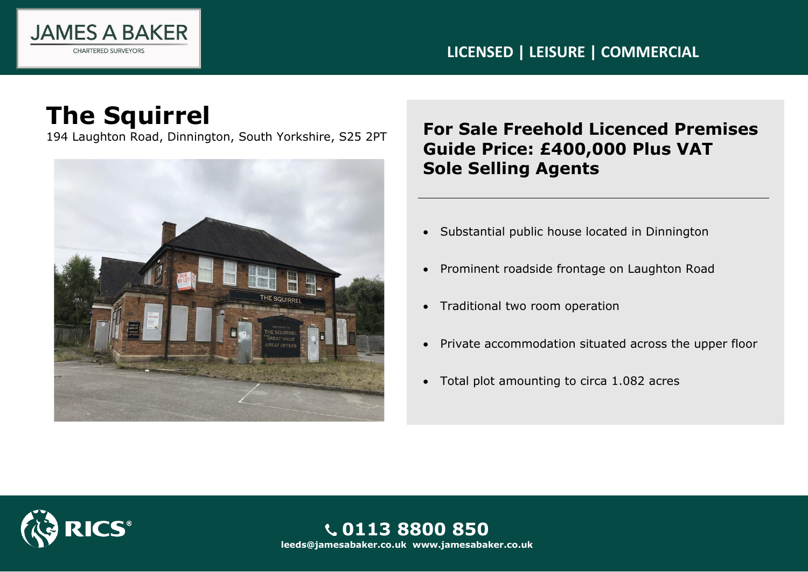

### **LICENSED | LEISURE | COMMERCIAL**

## **The Squirrel**



## 194 Laughton Road, Dinnington, South Yorkshire, S25 2PT **For Sale Freehold Licenced Premises Guide Price: £400,000 Plus VAT Sole Selling Agents**

- Substantial public house located in Dinnington
- Prominent roadside frontage on Laughton Road
- Traditional two room operation
- Private accommodation situated across the upper floor
- Total plot amounting to circa 1.082 acres



**0113 8800 850 leeds@jamesabaker.co.uk www.jamesabaker.co.uk**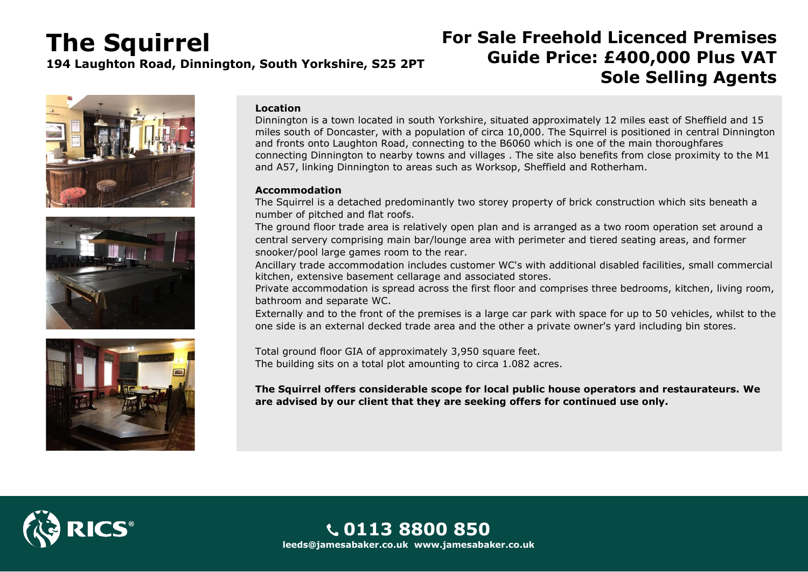# **The Squirrel**

**194 Laughton Road, Dinnington, South Yorkshire, S25 2PT**

## **For Sale Freehold Licenced Premises Guide Price: £400,000 Plus VAT Sole Selling Agents**







#### **Location**

Dinnington is a town located in south Yorkshire, situated approximately 12 miles east of Sheffield and 15 miles south of Doncaster, with a population of circa 10,000. The Squirrel is positioned in central Dinnington and fronts onto Laughton Road, connecting to the B6060 which is one of the main thoroughfares connecting Dinnington to nearby towns and villages . The site also benefits from close proximity to the M1 and A57, linking Dinnington to areas such as Worksop, Sheffield and Rotherham.

#### **Accommodation**

The Squirrel is a detached predominantly two storey property of brick construction which sits beneath a number of pitched and flat roofs.

The ground floor trade area is relatively open plan and is arranged as a two room operation set around a central servery comprising main bar/lounge area with perimeter and tiered seating areas, and former snooker/pool large games room to the rear.

Ancillary trade accommodation includes customer WC's with additional disabled facilities, small commercial kitchen, extensive basement cellarage and associated stores.

Private accommodation is spread across the first floor and comprises three bedrooms, kitchen, living room, bathroom and separate WC.

Externally and to the front of the premises is a large car park with space for up to 50 vehicles, whilst to the one side is an external decked trade area and the other a private owner's yard including bin stores.

Total ground floor GIA of approximately 3,950 square feet. The building sits on a total plot amounting to circa 1.082 acres.

**The Squirrel offers considerable scope for local public house operators and restaurateurs. We are advised by our client that they are seeking offers for continued use only.**

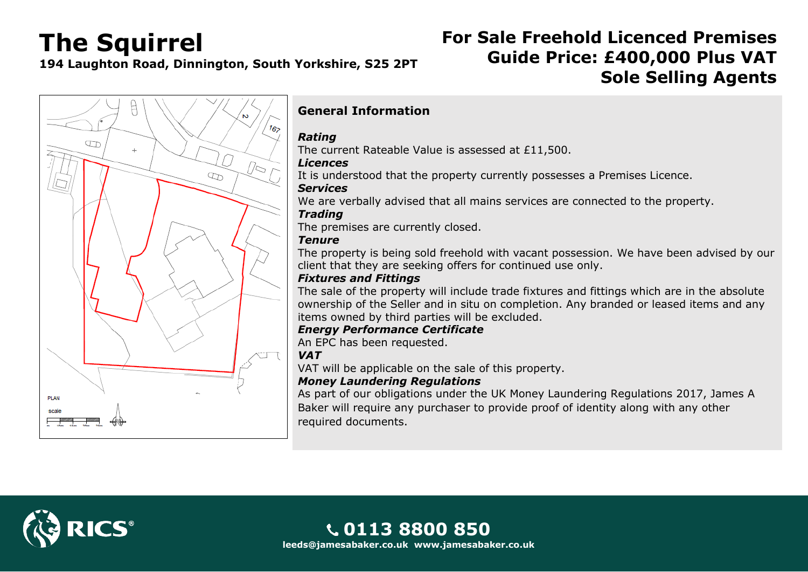## **The Squirrel**

**194 Laughton Road, Dinnington, South Yorkshire, S25 2PT**

## **For Sale Freehold Licenced Premises Guide Price: £400,000 Plus VAT Sole Selling Agents**



### **General Information**

#### *Rating*

The current Rateable Value is assessed at £11,500.

#### *Licences*

It is understood that the property currently possesses a Premises Licence.

#### *Services*

We are verbally advised that all mains services are connected to the property.

#### *Trading*

The premises are currently closed.

#### *Tenure*

The property is being sold freehold with vacant possession. We have been advised by our client that they are seeking offers for continued use only.

#### *Fixtures and Fittings*

The sale of the property will include trade fixtures and fittings which are in the absolute ownership of the Seller and in situ on completion. Any branded or leased items and any items owned by third parties will be excluded.

#### *Energy Performance Certificate*

An EPC has been requested.

#### *VAT*

VAT will be applicable on the sale of this property.

#### *Money Laundering Regulations*

As part of our obligations under the UK Money Laundering Regulations 2017, James A Baker will require any purchaser to provide proof of identity along with any other required documents.